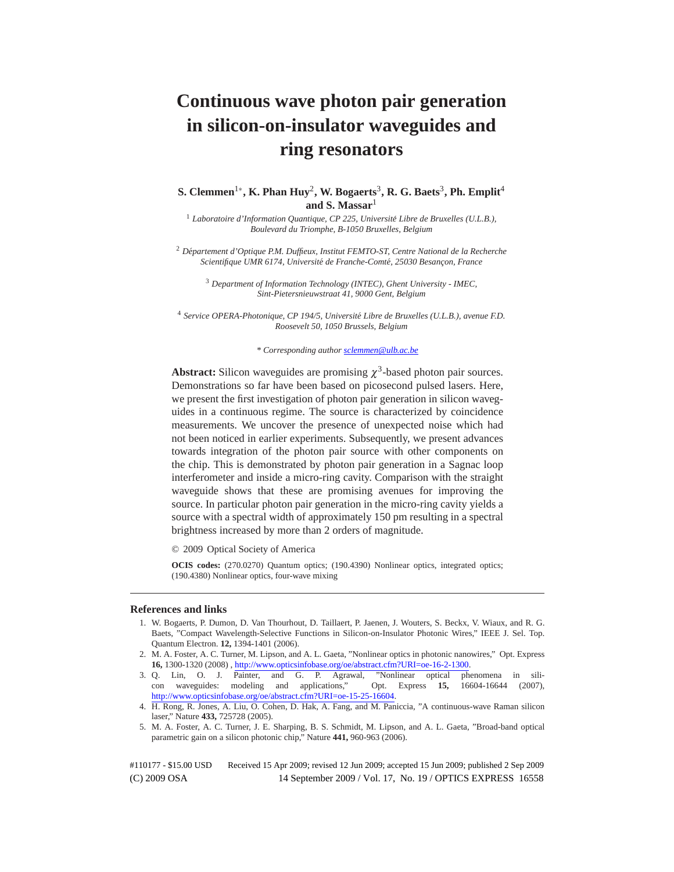# **Continuous wave photon pair generation in silicon-on-insulator waveguides and ring resonators**

# **S. Clemmen**1∗**, K. Phan Huy**2**, W. Bogaerts**3**, R. G. Baets**3**, Ph. Emplit**<sup>4</sup> **and S. Massar**<sup>1</sup>

<sup>1</sup> *Laboratoire d'Information Quantique, CP 225, Universite Libre de Bruxelles (U.L.B.), ´ Boulevard du Triomphe, B-1050 Bruxelles, Belgium*

<sup>2</sup> *Departement d'Optique P.M. Duffieux, Institut FEMTO-ST, Centre National de la Recherche ´ Scientifique UMR 6174, Université de Franche-Comté, 25030 Besançon, France* 

<sup>3</sup> *Department of Information Technology (INTEC), Ghent University - IMEC, Sint-Pietersnieuwstraat 41, 9000 Gent, Belgium*

<sup>4</sup> *Service OPERA-Photonique, CP 194/5, Universite Libre de Bruxelles (U.L.B.), avenue F.D. ´ Roosevelt 50, 1050 Brussels, Belgium*

*\* Corresponding author sclemmen@ulb.ac.be*

**Abstract:** Silicon waveguides are promising  $\chi^3$ -based photon pair sources. Demonstrations so far have been based on picosecond pulsed lasers. Here, we present the first investigation of photon pair generation in silicon waveguides in a continuous regime. The source is characterized by coincidence measurements. We uncover the presence of unexpected noise which had not been noticed in earlier experiments. Subsequently, we present advances towards integration of the photon pair source with other components on the chip. This is demonstrated by photon pair generation in a Sagnac loop interferometer and inside a micro-ring cavity. Comparison with the straight waveguide shows that these are promising avenues for improving the source. In particular photon pair generation in the micro-ring cavity yields a source with a spectral width of approximately 150 pm resulting in a spectral brightness increased by more than 2 orders of magnitude.

© 2009 Optical Society of America

**OCIS codes:** (270.0270) Quantum optics; (190.4390) Nonlinear optics, integrated optics; (190.4380) Nonlinear optics, four-wave mixing

#### **References and links**

1. W. Bogaerts, P. Dumon, D. Van Thourhout, D. Taillaert, P. Jaenen, J. Wouters, S. Beckx, V. Wiaux, and R. G. Baets, "Compact Wavelength-Selective Functions in Silicon-on-Insulator Photonic Wires," IEEE J. Sel. Top. Quantum Electron. **12,** 1394-1401 (2006).

3. Q. Lin, O. J. Painter, and G. P. Agrawal, "Nonlinear optical phenomena in silicon waveguides: modeling and applications," Opt. Express **15,** 16604-16644 (2007), http://www.opticsinfobase.org/oe/abstract.cfm?URI=oe-15-25-16604.

5. M. A. Foster, A. C. Turner, J. E. Sharping, B. S. Schmidt, M. Lipson, and A. L. Gaeta, "Broad-band optical parametric gain on a silicon photonic chip," Nature **441,** 960-963 (2006).

<sup>2.</sup> M. A. Foster, A. C. Turner, M. Lipson, and A. L. Gaeta, "Nonlinear optics in photonic nanowires," Opt. Express **16,** 1300-1320 (2008) , http://www.opticsinfobase.org/oe/abstract.cfm?URI=oe-16-2-1300.

<sup>4.</sup> H. Rong, R. Jones, A. Liu, O. Cohen, D. Hak, A. Fang, and M. Paniccia, "A continuous-wave Raman silicon laser," Nature **433,** 725728 (2005).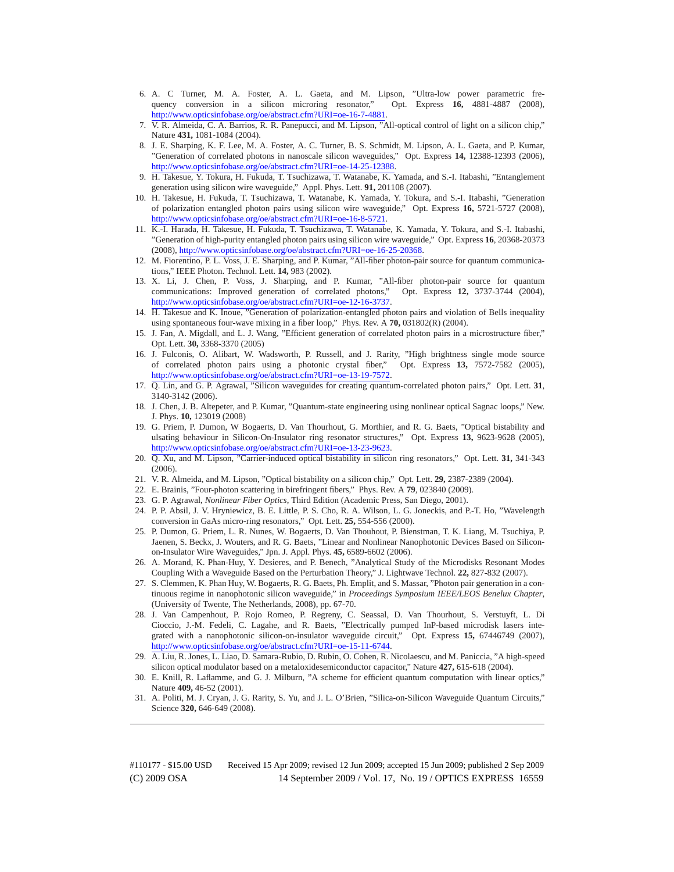- 6. A. C Turner, M. A. Foster, A. L. Gaeta, and M. Lipson, "Ultra-low power parametric frequency conversion in a silicon microring resonator," Opt. Express **16,** 4881-4887 (2008), http://www.opticsinfobase.org/oe/abstract.cfm?URI=oe-16-7-4881.
- 7. V. R. Almeida, C. A. Barrios, R. R. Panepucci, and M. Lipson, "All-optical control of light on a silicon chip," Nature **431,** 1081-1084 (2004).
- 8. J. E. Sharping, K. F. Lee, M. A. Foster, A. C. Turner, B. S. Schmidt, M. Lipson, A. L. Gaeta, and P. Kumar, "Generation of correlated photons in nanoscale silicon waveguides," Opt. Express **14,** 12388-12393 (2006), http://www.opticsinfobase.org/oe/abstract.cfm?URI=oe-14-25-12388.
- 9. H. Takesue, Y. Tokura, H. Fukuda, T. Tsuchizawa, T. Watanabe, K. Yamada, and S.-I. Itabashi, "Entanglement generation using silicon wire waveguide," Appl. Phys. Lett. **91,** 201108 (2007).
- 10. H. Takesue, H. Fukuda, T. Tsuchizawa, T. Watanabe, K. Yamada, Y. Tokura, and S.-I. Itabashi, "Generation of polarization entangled photon pairs using silicon wire waveguide," Opt. Express **16,** 5721-5727 (2008), http://www.opticsinfobase.org/oe/abstract.cfm?URI=oe-16-8-5721.
- 11. K.-I. Harada, H. Takesue, H. Fukuda, T. Tsuchizawa, T. Watanabe, K. Yamada, Y. Tokura, and S.-I. Itabashi, "Generation of high-purity entangled photon pairs using silicon wire waveguide," Opt. Express **16**, 20368-20373 (2008), http://www.opticsinfobase.org/oe/abstract.cfm?URI=oe-16-25-20368.
- 12. M. Fiorentino, P. L. Voss, J. E. Sharping, and P. Kumar, "All-fiber photon-pair source for quantum communications," IEEE Photon. Technol. Lett. **14,** 983 (2002).
- 13. X. Li, J. Chen, P. Voss, J. Sharping, and P. Kumar, "All-fiber photon-pair source for quantum communications: Improved generation of correlated photons," Opt. Express **12,** 3737-3744 (2004), http://www.opticsinfobase.org/oe/abstract.cfm?URI=oe-12-16-3737.
- 14. H. Takesue and K. Inoue, "Generation of polarization-entangled photon pairs and violation of Bells inequality using spontaneous four-wave mixing in a fiber loop," Phys. Rev. A **70,** 031802(R) (2004).
- 15. J. Fan, A. Migdall, and L. J. Wang, "Efficient generation of correlated photon pairs in a microstructure fiber," Opt. Lett. **30,** 3368-3370 (2005)
- 16. J. Fulconis, O. Alibart, W. Wadsworth, P. Russell, and J. Rarity, "High brightness single mode source of correlated photon pairs using a photonic crystal fiber," Opt. Express **13,** 7572-7582 (2005), http://www.opticsinfobase.org/oe/abstract.cfm?URI=oe-13-19-7572.
- 17. Q. Lin, and G. P. Agrawal, "Silicon waveguides for creating quantum-correlated photon pairs," Opt. Lett. **31**, 3140-3142 (2006).
- 18. J. Chen, J. B. Altepeter, and P. Kumar, "Quantum-state engineering using nonlinear optical Sagnac loops," New. J. Phys. **10,** 123019 (2008)
- 19. G. Priem, P. Dumon, W Bogaerts, D. Van Thourhout, G. Morthier, and R. G. Baets, "Optical bistability and ulsating behaviour in Silicon-On-Insulator ring resonator structures," Opt. Express **13,** 9623-9628 (2005), http://www.opticsinfobase.org/oe/abstract.cfm?URI=oe-13-23-9623.
- 20. Q. Xu, and M. Lipson, "Carrier-induced optical bistability in silicon ring resonators," Opt. Lett. **31,** 341-343 (2006).
- 21. V. R. Almeida, and M. Lipson, "Optical bistability on a silicon chip," Opt. Lett. **29,** 2387-2389 (2004).
- 22. E. Brainis, "Four-photon scattering in birefringent fibers," Phys. Rev. A **79**, 023840 (2009).
- 23. G. P. Agrawal, *Nonlinear Fiber Optics*, Third Edition (Academic Press, San Diego, 2001).
- 24. P. P. Absil, J. V. Hryniewicz, B. E. Little, P. S. Cho, R. A. Wilson, L. G. Joneckis, and P.-T. Ho, "Wavelength conversion in GaAs micro-ring resonators," Opt. Lett. **25,** 554-556 (2000).
- 25. P. Dumon, G. Priem, L. R. Nunes, W. Bogaerts, D. Van Thouhout, P. Bienstman, T. K. Liang, M. Tsuchiya, P. Jaenen, S. Beckx, J. Wouters, and R. G. Baets, "Linear and Nonlinear Nanophotonic Devices Based on Siliconon-Insulator Wire Waveguides," Jpn. J. Appl. Phys. **45,** 6589-6602 (2006).
- 26. A. Morand, K. Phan-Huy, Y. Desieres, and P. Benech, "Analytical Study of the Microdisks Resonant Modes Coupling With a Waveguide Based on the Perturbation Theory," J. Lightwave Technol. **22,** 827-832 (2007).
- 27. S. Clemmen, K. Phan Huy, W. Bogaerts, R. G. Baets, Ph. Emplit, and S. Massar, "Photon pair generation in a continuous regime in nanophotonic silicon waveguide," in *Proceedings Symposium IEEE/LEOS Benelux Chapter*, (University of Twente, The Netherlands, 2008), pp. 67-70.
- 28. J. Van Campenhout, P. Rojo Romeo, P. Regreny, C. Seassal, D. Van Thourhout, S. Verstuyft, L. Di Cioccio, J.-M. Fedeli, C. Lagahe, and R. Baets, "Electrically pumped InP-based microdisk lasers integrated with a nanophotonic silicon-on-insulator waveguide circuit," Opt. Express **15,** 67446749 (2007), http://www.opticsinfobase.org/oe/abstract.cfm?URI=oe-15-11-6744.
- 29. A. Liu, R. Jones, L. Liao, D. Samara-Rubio, D. Rubin, O. Cohen, R. Nicolaescu, and M. Paniccia, "A high-speed silicon optical modulator based on a metaloxidesemiconductor capacitor," Nature **427,** 615-618 (2004).
- 30. E. Knill, R. Laflamme, and G. J. Milburn, "A scheme for efficient quantum computation with linear optics," Nature **409,** 46-52 (2001).
- 31. A. Politi, M. J. Cryan, J. G. Rarity, S. Yu, and J. L. O'Brien, "Silica-on-Silicon Waveguide Quantum Circuits," Science **320,** 646-649 (2008).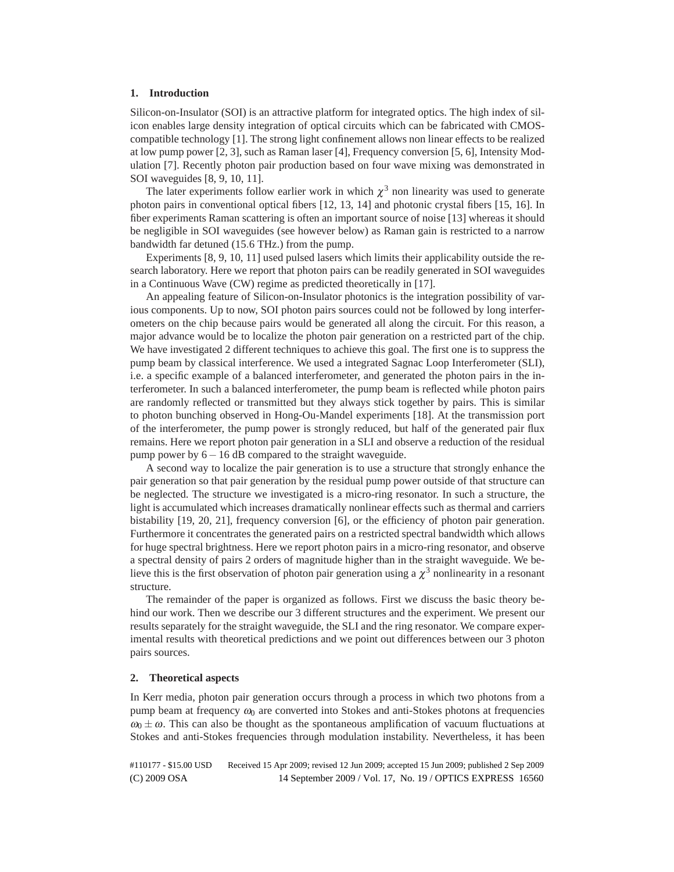# **1. Introduction**

Silicon-on-Insulator (SOI) is an attractive platform for integrated optics. The high index of silicon enables large density integration of optical circuits which can be fabricated with CMOScompatible technology [1]. The strong light confinement allows non linear effects to be realized at low pump power [2, 3], such as Raman laser [4], Frequency conversion [5, 6], Intensity Modulation [7]. Recently photon pair production based on four wave mixing was demonstrated in SOI waveguides [8, 9, 10, 11].

The later experiments follow earlier work in which  $\chi^3$  non linearity was used to generate photon pairs in conventional optical fibers [12, 13, 14] and photonic crystal fibers [15, 16]. In fiber experiments Raman scattering is often an important source of noise [13] whereas it should be negligible in SOI waveguides (see however below) as Raman gain is restricted to a narrow bandwidth far detuned (15*.*6 THz.) from the pump.

Experiments [8, 9, 10, 11] used pulsed lasers which limits their applicability outside the research laboratory. Here we report that photon pairs can be readily generated in SOI waveguides in a Continuous Wave (CW) regime as predicted theoretically in [17].

An appealing feature of Silicon-on-Insulator photonics is the integration possibility of various components. Up to now, SOI photon pairs sources could not be followed by long interferometers on the chip because pairs would be generated all along the circuit. For this reason, a major advance would be to localize the photon pair generation on a restricted part of the chip. We have investigated 2 different techniques to achieve this goal. The first one is to suppress the pump beam by classical interference. We used a integrated Sagnac Loop Interferometer (SLI), i.e. a specific example of a balanced interferometer, and generated the photon pairs in the interferometer. In such a balanced interferometer, the pump beam is reflected while photon pairs are randomly reflected or transmitted but they always stick together by pairs. This is similar to photon bunching observed in Hong-Ou-Mandel experiments [18]. At the transmission port of the interferometer, the pump power is strongly reduced, but half of the generated pair flux remains. Here we report photon pair generation in a SLI and observe a reduction of the residual pump power by  $6-16$  dB compared to the straight waveguide.

A second way to localize the pair generation is to use a structure that strongly enhance the pair generation so that pair generation by the residual pump power outside of that structure can be neglected. The structure we investigated is a micro-ring resonator. In such a structure, the light is accumulated which increases dramatically nonlinear effects such as thermal and carriers bistability [19, 20, 21], frequency conversion [6], or the efficiency of photon pair generation. Furthermore it concentrates the generated pairs on a restricted spectral bandwidth which allows for huge spectral brightness. Here we report photon pairs in a micro-ring resonator, and observe a spectral density of pairs 2 orders of magnitude higher than in the straight waveguide. We believe this is the first observation of photon pair generation using a  $\chi^3$  nonlinearity in a resonant structure.

The remainder of the paper is organized as follows. First we discuss the basic theory behind our work. Then we describe our 3 different structures and the experiment. We present our results separately for the straight waveguide, the SLI and the ring resonator. We compare experimental results with theoretical predictions and we point out differences between our 3 photon pairs sources.

# **2. Theoretical aspects**

In Kerr media, photon pair generation occurs through a process in which two photons from a pump beam at frequency  $\omega_0$  are converted into Stokes and anti-Stokes photons at frequencies  $\omega_0 \pm \omega$ . This can also be thought as the spontaneous amplification of vacuum fluctuations at Stokes and anti-Stokes frequencies through modulation instability. Nevertheless, it has been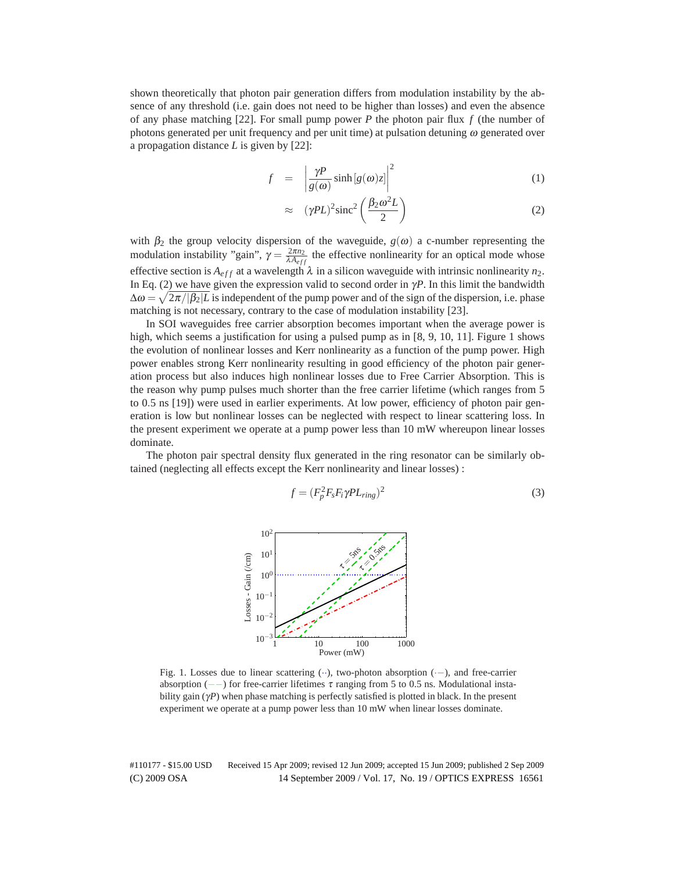shown theoretically that photon pair generation differs from modulation instability by the absence of any threshold (i.e. gain does not need to be higher than losses) and even the absence of any phase matching [22]. For small pump power *P* the photon pair flux *f* (the number of photons generated per unit frequency and per unit time) at pulsation detuning  $\omega$  generated over a propagation distance *L* is given by [22]:

$$
f = \left| \frac{\gamma P}{g(\omega)} \sinh[g(\omega)z] \right|^2 \tag{1}
$$

$$
\approx \quad (\gamma PL)^2 \text{sinc}^2 \left( \frac{\beta_2 \omega^2 L}{2} \right) \tag{2}
$$

with  $\beta_2$  the group velocity dispersion of the waveguide,  $g(\omega)$  a c-number representing the modulation instability "gain",  $\gamma = \frac{2\pi n_2}{\lambda A_{eff}}$  the effective nonlinearity for an optical mode whose effective section is  $A_{eff}$  at a wavelength  $\lambda$  in a silicon waveguide with intrinsic nonlinearity  $n_2$ . In Eq. (2) we have given the expression valid to second order in  $\gamma P$ . In this limit the bandwidth  $\Delta \omega = \sqrt{2\pi/|\beta_2|}L$  is independent of the pump power and of the sign of the dispersion, i.e. phase matching is not necessary, contrary to the case of modulation instability [23].

In SOI waveguides free carrier absorption becomes important when the average power is high, which seems a justification for using a pulsed pump as in [8, 9, 10, 11]. Figure 1 shows the evolution of nonlinear losses and Kerr nonlinearity as a function of the pump power. High power enables strong Kerr nonlinearity resulting in good efficiency of the photon pair generation process but also induces high nonlinear losses due to Free Carrier Absorption. This is the reason why pump pulses much shorter than the free carrier lifetime (which ranges from 5 to 0*.*5 ns [19]) were used in earlier experiments. At low power, efficiency of photon pair generation is low but nonlinear losses can be neglected with respect to linear scattering loss. In the present experiment we operate at a pump power less than 10 mW whereupon linear losses dominate.

The photon pair spectral density flux generated in the ring resonator can be similarly obtained (neglecting all effects except the Kerr nonlinearity and linear losses) :

$$
f = (F_p^2 F_s F_i \gamma P L_{ring})^2
$$
\n(3)



Fig. 1. Losses due to linear scattering (··), two-photon absorption (·−), and free-carrier absorption ( $-\text{ }$ ) for free-carrier lifetimes  $\tau$  ranging from 5 to 0.5 ns. Modulational instability gain (γ*P*) when phase matching is perfectly satisfied is plotted in black. In the present experiment we operate at a pump power less than 10 mW when linear losses dominate.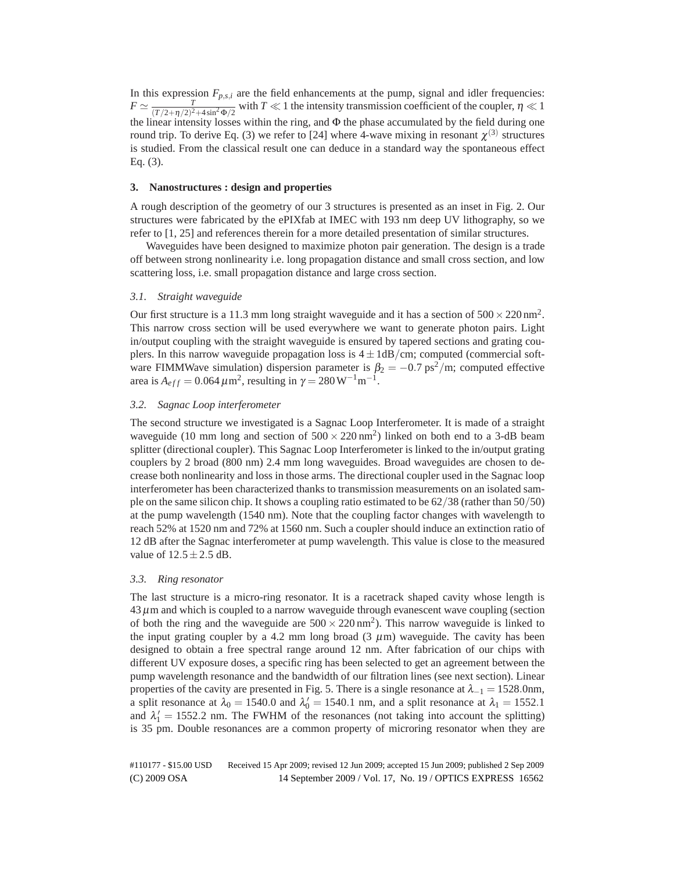In this expression  $F_{p,s,i}$  are the field enhancements at the pump, signal and idler frequencies:  $F \simeq \frac{T}{(T/2+\eta/2)^2+4\sin^2{\Phi/2}}$  with  $T \ll 1$  the intensity transmission coefficient of the coupler,  $\eta \ll 1$ the linear intensity losses within the ring, and Φ the phase accumulated by the field during one round trip. To derive Eq. (3) we refer to [24] where 4-wave mixing in resonant  $\chi^{(3)}$  structures is studied. From the classical result one can deduce in a standard way the spontaneous effect Eq. (3).

# **3. Nanostructures : design and properties**

A rough description of the geometry of our 3 structures is presented as an inset in Fig. 2. Our structures were fabricated by the ePIXfab at IMEC with 193 nm deep UV lithography, so we refer to [1, 25] and references therein for a more detailed presentation of similar structures.

Waveguides have been designed to maximize photon pair generation. The design is a trade off between strong nonlinearity i.e. long propagation distance and small cross section, and low scattering loss, i.e. small propagation distance and large cross section.

# *3.1. Straight waveguide*

Our first structure is a 11.3 mm long straight waveguide and it has a section of  $500 \times 220 \text{ nm}^2$ . This narrow cross section will be used everywhere we want to generate photon pairs. Light in/output coupling with the straight waveguide is ensured by tapered sections and grating couplers. In this narrow waveguide propagation loss is 4±1dB*/*cm; computed (commercial software FIMMWave simulation) dispersion parameter is  $\beta_2 = -0.7 \text{ ps}^2/\text{m}$ ; computed effective area is  $A_{eff} = 0.064 \,\mu \text{m}^2$ , resulting in  $\gamma = 280 \,\text{W}^{-1}\text{m}^{-1}$ .

# *3.2. Sagnac Loop interferometer*

The second structure we investigated is a Sagnac Loop Interferometer. It is made of a straight waveguide (10 mm long and section of  $500 \times 220 \text{ nm}^2$ ) linked on both end to a 3-dB beam splitter (directional coupler). This Sagnac Loop Interferometer is linked to the in/output grating couplers by 2 broad (800 nm) 2.4 mm long waveguides. Broad waveguides are chosen to decrease both nonlinearity and loss in those arms. The directional coupler used in the Sagnac loop interferometer has been characterized thanks to transmission measurements on an isolated sample on the same silicon chip. It shows a coupling ratio estimated to be 62*/*38 (rather than 50*/*50) at the pump wavelength (1540 nm). Note that the coupling factor changes with wavelength to reach 52% at 1520 nm and 72% at 1560 nm. Such a coupler should induce an extinction ratio of 12 dB after the Sagnac interferometer at pump wavelength. This value is close to the measured value of  $12.5 \pm 2.5$  dB.

# *3.3. Ring resonator*

The last structure is a micro-ring resonator. It is a racetrack shaped cavity whose length is  $43 \mu$ m and which is coupled to a narrow waveguide through evanescent wave coupling (section of both the ring and the waveguide are  $500 \times 220 \text{ nm}^2$ ). This narrow waveguide is linked to the input grating coupler by a 4.2 mm long broad  $(3 \mu m)$  waveguide. The cavity has been designed to obtain a free spectral range around 12 nm. After fabrication of our chips with different UV exposure doses, a specific ring has been selected to get an agreement between the pump wavelength resonance and the bandwidth of our filtration lines (see next section). Linear properties of the cavity are presented in Fig. 5. There is a single resonance at  $\lambda_{-1} = 1528.0$ nm, a split resonance at  $\lambda_0 = 1540.0$  and  $\lambda'_0 = 1540.1$  nm, and a split resonance at  $\lambda_1 = 1552.1$ and  $\lambda'_1 = 1552.2$  nm. The FWHM of the resonances (not taking into account the splitting) is 35 pm. Double resonances are a common property of microring resonator when they are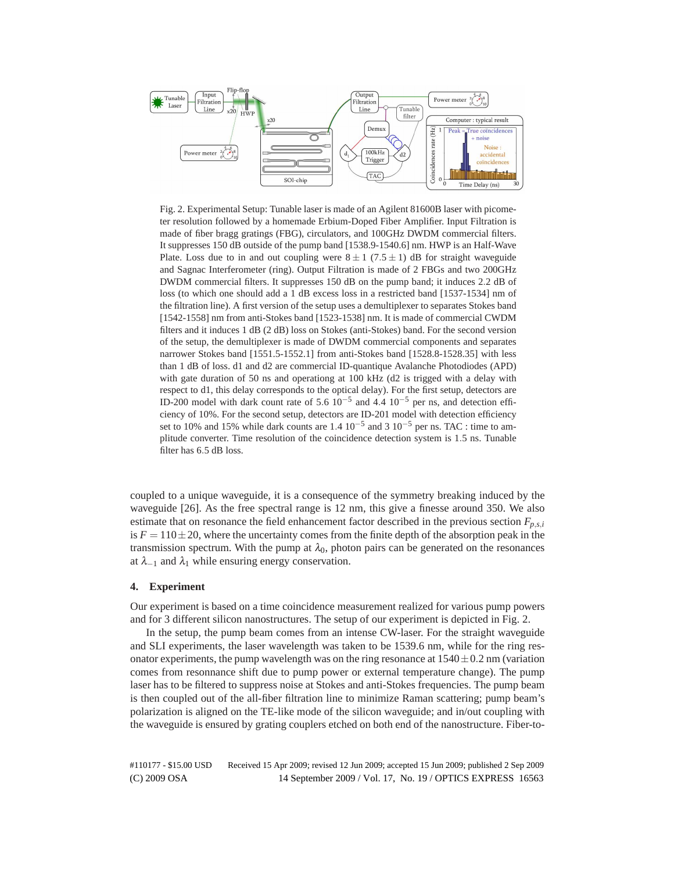

Fig. 2. Experimental Setup: Tunable laser is made of an Agilent 81600B laser with picometer resolution followed by a homemade Erbium-Doped Fiber Amplifier. Input Filtration is made of fiber bragg gratings (FBG), circulators, and 100GHz DWDM commercial filters. It suppresses 150 dB outside of the pump band [1538.9-1540.6] nm. HWP is an Half-Wave Plate. Loss due to in and out coupling were  $8 \pm 1$  (7.5  $\pm$  1) dB for straight waveguide and Sagnac Interferometer (ring). Output Filtration is made of 2 FBGs and two 200GHz DWDM commercial filters. It suppresses 150 dB on the pump band; it induces 2*.*2 dB of loss (to which one should add a 1 dB excess loss in a restricted band [1537-1534] nm of the filtration line). A first version of the setup uses a demultiplexer to separates Stokes band [1542-1558] nm from anti-Stokes band [1523-1538] nm. It is made of commercial CWDM filters and it induces 1 dB (2 dB) loss on Stokes (anti-Stokes) band. For the second version of the setup, the demultiplexer is made of DWDM commercial components and separates narrower Stokes band [1551.5-1552.1] from anti-Stokes band [1528.8-1528.35] with less than 1 dB of loss. d1 and d2 are commercial ID-quantique Avalanche Photodiodes (APD) with gate duration of 50 ns and operationg at 100 kHz (d2 is trigged with a delay with respect to d1, this delay corresponds to the optical delay). For the first setup, detectors are ID-200 model with dark count rate of 5*.*6 10−<sup>5</sup> and 4*.*4 10−<sup>5</sup> per ns, and detection efficiency of 10%. For the second setup, detectors are ID-201 model with detection efficiency set to 10% and 15% while dark counts are  $1.4 \times 10^{-5}$  and 3  $10^{-5}$  per ns. TAC : time to amplitude converter. Time resolution of the coincidence detection system is 1*.*5 ns. Tunable filter has 6*.*5 dB loss.

coupled to a unique waveguide, it is a consequence of the symmetry breaking induced by the waveguide [26]. As the free spectral range is 12 nm, this give a finesse around 350. We also estimate that on resonance the field enhancement factor described in the previous section  $F_{p,s,i}$ is  $F = 110 \pm 20$ , where the uncertainty comes from the finite depth of the absorption peak in the transmission spectrum. With the pump at  $\lambda_0$ , photon pairs can be generated on the resonances at  $\lambda_{-1}$  and  $\lambda_1$  while ensuring energy conservation.

## **4. Experiment**

Our experiment is based on a time coincidence measurement realized for various pump powers and for 3 different silicon nanostructures. The setup of our experiment is depicted in Fig. 2.

In the setup, the pump beam comes from an intense CW-laser. For the straight waveguide and SLI experiments, the laser wavelength was taken to be 1539.6 nm, while for the ring resonator experiments, the pump wavelength was on the ring resonance at  $1540 \pm 0.2$  nm (variation comes from resonnance shift due to pump power or external temperature change). The pump laser has to be filtered to suppress noise at Stokes and anti-Stokes frequencies. The pump beam is then coupled out of the all-fiber filtration line to minimize Raman scattering; pump beam's polarization is aligned on the TE-like mode of the silicon waveguide; and in/out coupling with the waveguide is ensured by grating couplers etched on both end of the nanostructure. Fiber-to-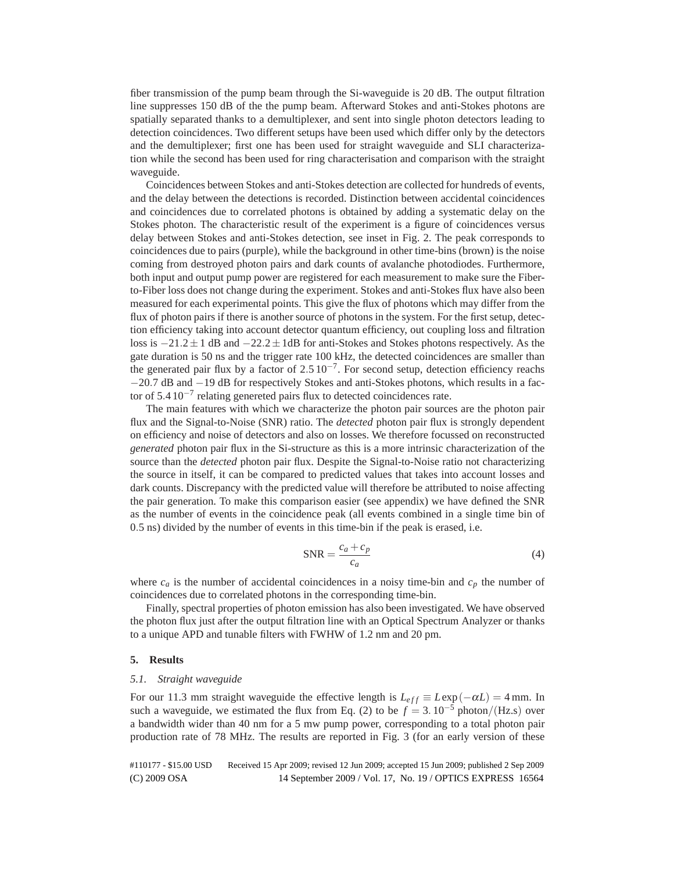fiber transmission of the pump beam through the Si-waveguide is 20 dB. The output filtration line suppresses 150 dB of the the pump beam. Afterward Stokes and anti-Stokes photons are spatially separated thanks to a demultiplexer, and sent into single photon detectors leading to detection coincidences. Two different setups have been used which differ only by the detectors and the demultiplexer; first one has been used for straight waveguide and SLI characterization while the second has been used for ring characterisation and comparison with the straight waveguide.

Coincidences between Stokes and anti-Stokes detection are collected for hundreds of events, and the delay between the detections is recorded. Distinction between accidental coincidences and coincidences due to correlated photons is obtained by adding a systematic delay on the Stokes photon. The characteristic result of the experiment is a figure of coincidences versus delay between Stokes and anti-Stokes detection, see inset in Fig. 2. The peak corresponds to coincidences due to pairs (purple), while the background in other time-bins (brown) is the noise coming from destroyed photon pairs and dark counts of avalanche photodiodes. Furthermore, both input and output pump power are registered for each measurement to make sure the Fiberto-Fiber loss does not change during the experiment. Stokes and anti-Stokes flux have also been measured for each experimental points. This give the flux of photons which may differ from the flux of photon pairs if there is another source of photons in the system. For the first setup, detection efficiency taking into account detector quantum efficiency, out coupling loss and filtration loss is −21*.*2±1 dB and −22*.*2±1dB for anti-Stokes and Stokes photons respectively. As the gate duration is 50 ns and the trigger rate 100 kHz, the detected coincidences are smaller than the generated pair flux by a factor of 2*.*5 10−7. For second setup, detection efficiency reachs −20*.*7 dB and −19 dB for respectively Stokes and anti-Stokes photons, which results in a factor of 5*.*4 10−<sup>7</sup> relating genereted pairs flux to detected coincidences rate.

The main features with which we characterize the photon pair sources are the photon pair flux and the Signal-to-Noise (SNR) ratio. The *detected* photon pair flux is strongly dependent on efficiency and noise of detectors and also on losses. We therefore focussed on reconstructed *generated* photon pair flux in the Si-structure as this is a more intrinsic characterization of the source than the *detected* photon pair flux. Despite the Signal-to-Noise ratio not characterizing the source in itself, it can be compared to predicted values that takes into account losses and dark counts. Discrepancy with the predicted value will therefore be attributed to noise affecting the pair generation. To make this comparison easier (see appendix) we have defined the SNR as the number of events in the coincidence peak (all events combined in a single time bin of 0*.*5 ns) divided by the number of events in this time-bin if the peak is erased, i.e.

$$
SNR = \frac{c_a + c_p}{c_a} \tag{4}
$$

where  $c_a$  is the number of accidental coincidences in a noisy time-bin and  $c_p$  the number of coincidences due to correlated photons in the corresponding time-bin.

Finally, spectral properties of photon emission has also been investigated. We have observed the photon flux just after the output filtration line with an Optical Spectrum Analyzer or thanks to a unique APD and tunable filters with FWHW of 1.2 nm and 20 pm.

#### **5. Results**

#### *5.1. Straight waveguide*

For our 11.3 mm straight waveguide the effective length is  $L_{eff} \equiv L \exp(-\alpha L) = 4 \text{ mm}$ . In such a waveguide, we estimated the flux from Eq. (2) to be  $f = 3.10^{-5}$  photon/(Hz.s) over a bandwidth wider than 40 nm for a 5 mw pump power, corresponding to a total photon pair production rate of 78 MHz. The results are reported in Fig. 3 (for an early version of these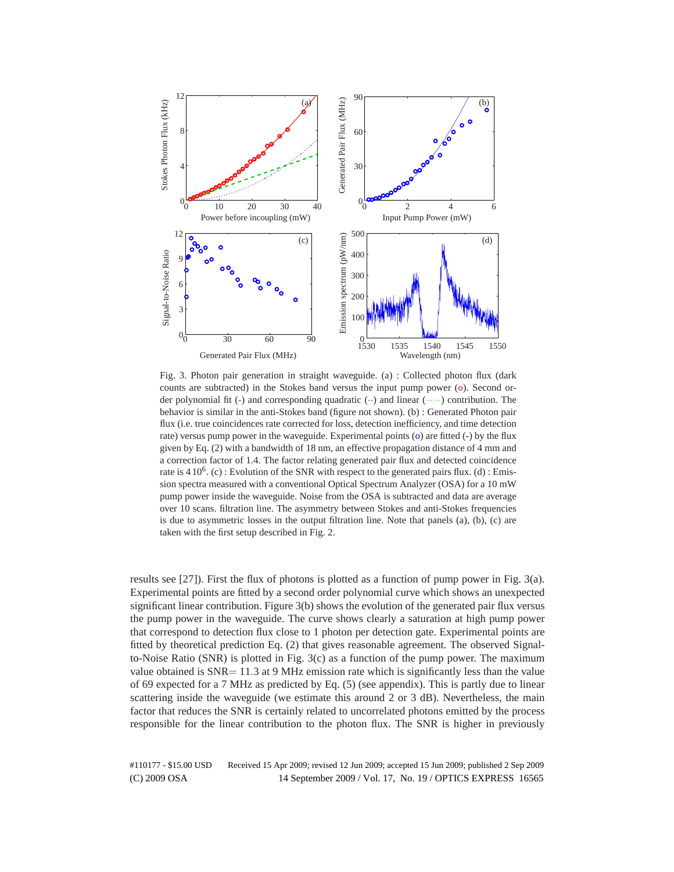

Fig. 3. Photon pair generation in straight waveguide. (a) : Collected photon flux (dark counts are subtracted) in the Stokes band versus the input pump power (o). Second order polynomial fit (-) and corresponding quadratic (··) and linear (−−) contribution. The behavior is similar in the anti-Stokes band (figure not shown). (b) : Generated Photon pair flux (i.e. true coincidences rate corrected for loss, detection inefficiency, and time detection rate) versus pump power in the waveguide. Experimental points (o) are fitted (-) by the flux given by Eq. (2) with a bandwidth of 18 nm, an effective propagation distance of 4 mm and a correction factor of 1.4. The factor relating generated pair flux and detected coincidence rate is  $410^6$ . (c) : Evolution of the SNR with respect to the generated pairs flux. (d) : Emission spectra measured with a conventional Optical Spectrum Analyzer (OSA) for a 10 mW pump power inside the waveguide. Noise from the OSA is subtracted and data are average over 10 scans. filtration line. The asymmetry between Stokes and anti-Stokes frequencies is due to asymmetric losses in the output filtration line. Note that panels (a), (b), (c) are taken with the first setup described in Fig. 2.

results see [27]). First the flux of photons is plotted as a function of pump power in Fig. 3(a). Experimental points are fitted by a second order polynomial curve which shows an unexpected significant linear contribution. Figure 3(b) shows the evolution of the generated pair flux versus the pump power in the waveguide. The curve shows clearly a saturation at high pump power that correspond to detection flux close to 1 photon per detection gate. Experimental points are fitted by theoretical prediction Eq. (2) that gives reasonable agreement. The observed Signalto-Noise Ratio (SNR) is plotted in Fig. 3(c) as a function of the pump power. The maximum value obtained is SNR= 11*.*3 at 9 MHz emission rate which is significantly less than the value of 69 expected for a 7 MHz as predicted by Eq. (5) (see appendix). This is partly due to linear scattering inside the waveguide (we estimate this around 2 or 3 dB). Nevertheless, the main factor that reduces the SNR is certainly related to uncorrelated photons emitted by the process responsible for the linear contribution to the photon flux. The SNR is higher in previously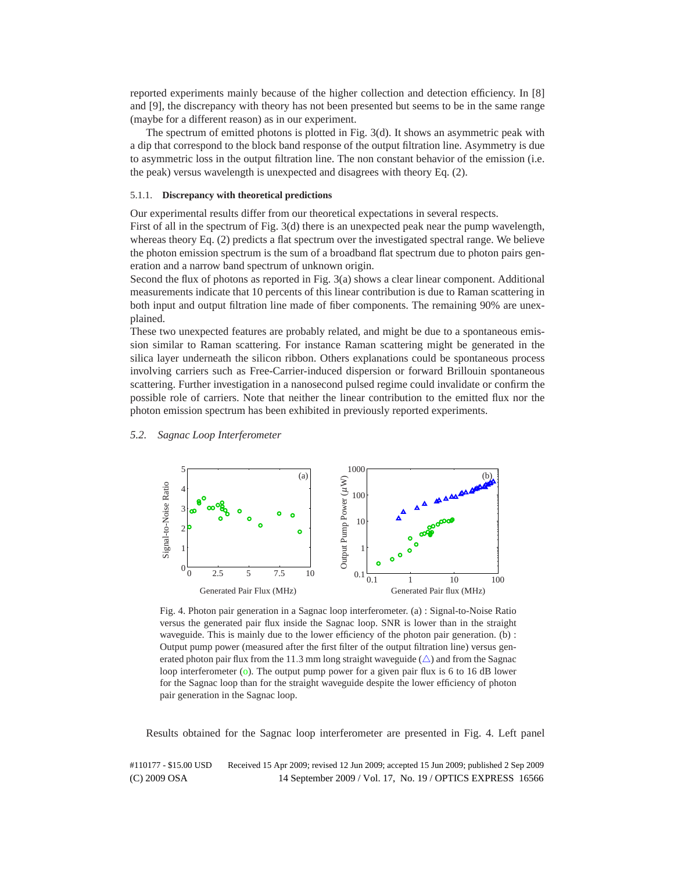reported experiments mainly because of the higher collection and detection efficiency. In [8] and [9], the discrepancy with theory has not been presented but seems to be in the same range (maybe for a different reason) as in our experiment.

The spectrum of emitted photons is plotted in Fig. 3(d). It shows an asymmetric peak with a dip that correspond to the block band response of the output filtration line. Asymmetry is due to asymmetric loss in the output filtration line. The non constant behavior of the emission (i.e. the peak) versus wavelength is unexpected and disagrees with theory Eq. (2).

# 5.1.1. **Discrepancy with theoretical predictions**

Our experimental results differ from our theoretical expectations in several respects.

First of all in the spectrum of Fig. 3(d) there is an unexpected peak near the pump wavelength, whereas theory Eq. (2) predicts a flat spectrum over the investigated spectral range. We believe the photon emission spectrum is the sum of a broadband flat spectrum due to photon pairs generation and a narrow band spectrum of unknown origin.

Second the flux of photons as reported in Fig. 3(a) shows a clear linear component. Additional measurements indicate that 10 percents of this linear contribution is due to Raman scattering in both input and output filtration line made of fiber components. The remaining 90% are unexplained.

These two unexpected features are probably related, and might be due to a spontaneous emission similar to Raman scattering. For instance Raman scattering might be generated in the silica layer underneath the silicon ribbon. Others explanations could be spontaneous process involving carriers such as Free-Carrier-induced dispersion or forward Brillouin spontaneous scattering. Further investigation in a nanosecond pulsed regime could invalidate or confirm the possible role of carriers. Note that neither the linear contribution to the emitted flux nor the photon emission spectrum has been exhibited in previously reported experiments.

*5.2. Sagnac Loop Interferometer*



Fig. 4. Photon pair generation in a Sagnac loop interferometer. (a) : Signal-to-Noise Ratio versus the generated pair flux inside the Sagnac loop. SNR is lower than in the straight waveguide. This is mainly due to the lower efficiency of the photon pair generation. (b) : Output pump power (measured after the first filter of the output filtration line) versus generated photon pair flux from the 11.3 mm long straight waveguide  $(\triangle)$  and from the Sagnac loop interferometer  $(o)$ . The output pump power for a given pair flux is 6 to 16 dB lower for the Sagnac loop than for the straight waveguide despite the lower efficiency of photon pair generation in the Sagnac loop.

Results obtained for the Sagnac loop interferometer are presented in Fig. 4. Left panel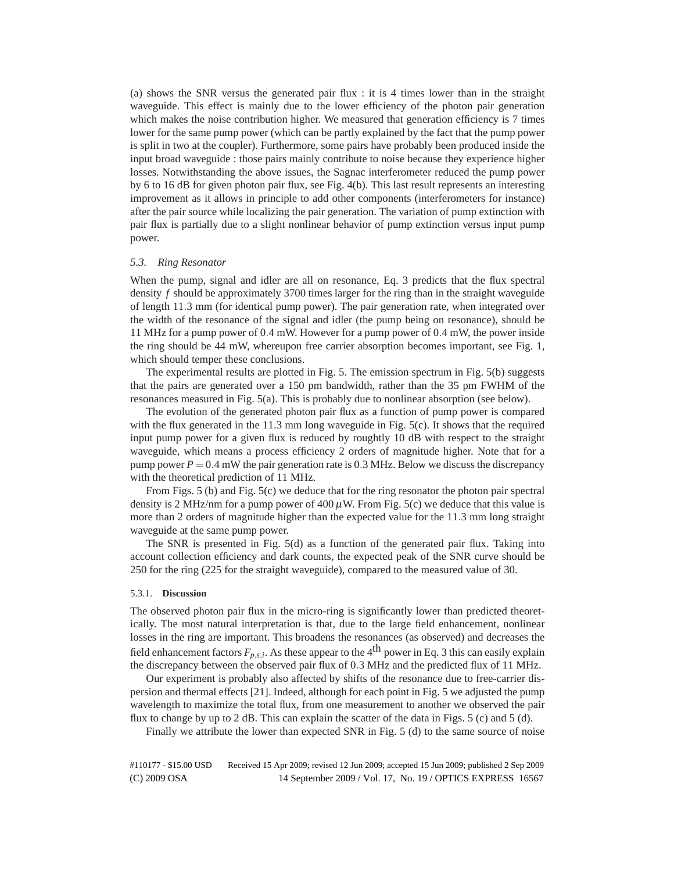(a) shows the SNR versus the generated pair flux : it is 4 times lower than in the straight waveguide. This effect is mainly due to the lower efficiency of the photon pair generation which makes the noise contribution higher. We measured that generation efficiency is 7 times lower for the same pump power (which can be partly explained by the fact that the pump power is split in two at the coupler). Furthermore, some pairs have probably been produced inside the input broad waveguide : those pairs mainly contribute to noise because they experience higher losses. Notwithstanding the above issues, the Sagnac interferometer reduced the pump power by 6 to 16 dB for given photon pair flux, see Fig. 4(b). This last result represents an interesting improvement as it allows in principle to add other components (interferometers for instance) after the pair source while localizing the pair generation. The variation of pump extinction with pair flux is partially due to a slight nonlinear behavior of pump extinction versus input pump power.

# *5.3. Ring Resonator*

When the pump, signal and idler are all on resonance, Eq. 3 predicts that the flux spectral density *f* should be approximately 3700 times larger for the ring than in the straight waveguide of length 11*.*3 mm (for identical pump power). The pair generation rate, when integrated over the width of the resonance of the signal and idler (the pump being on resonance), should be 11 MHz for a pump power of 0*.*4 mW. However for a pump power of 0*.*4 mW, the power inside the ring should be 44 mW, whereupon free carrier absorption becomes important, see Fig. 1, which should temper these conclusions.

The experimental results are plotted in Fig. 5. The emission spectrum in Fig. 5(b) suggests that the pairs are generated over a 150 pm bandwidth, rather than the 35 pm FWHM of the resonances measured in Fig. 5(a). This is probably due to nonlinear absorption (see below).

The evolution of the generated photon pair flux as a function of pump power is compared with the flux generated in the 11.3 mm long waveguide in Fig. 5(c). It shows that the required input pump power for a given flux is reduced by roughtly 10 dB with respect to the straight waveguide, which means a process efficiency 2 orders of magnitude higher. Note that for a pump power  $P = 0.4$  mW the pair generation rate is 0.3 MHz. Below we discuss the discrepancy with the theoretical prediction of 11 MHz.

From Figs. 5 (b) and Fig. 5(c) we deduce that for the ring resonator the photon pair spectral density is 2 MHz/nm for a pump power of  $400 \mu$ W. From Fig. 5(c) we deduce that this value is more than 2 orders of magnitude higher than the expected value for the 11*.*3 mm long straight waveguide at the same pump power.

The SNR is presented in Fig. 5(d) as a function of the generated pair flux. Taking into account collection efficiency and dark counts, the expected peak of the SNR curve should be 250 for the ring (225 for the straight waveguide), compared to the measured value of 30.

# 5.3.1. **Discussion**

The observed photon pair flux in the micro-ring is significantly lower than predicted theoretically. The most natural interpretation is that, due to the large field enhancement, nonlinear losses in the ring are important. This broadens the resonances (as observed) and decreases the field enhancement factors  $F_{p,s,i}$ . As these appear to the 4<sup>th</sup> power in Eq. 3 this can easily explain the discrepancy between the observed pair flux of 0*.*3 MHz and the predicted flux of 11 MHz.

Our experiment is probably also affected by shifts of the resonance due to free-carrier dispersion and thermal effects [21]. Indeed, although for each point in Fig. 5 we adjusted the pump wavelength to maximize the total flux, from one measurement to another we observed the pair flux to change by up to 2 dB. This can explain the scatter of the data in Figs. 5 (c) and 5 (d).

Finally we attribute the lower than expected SNR in Fig. 5 (d) to the same source of noise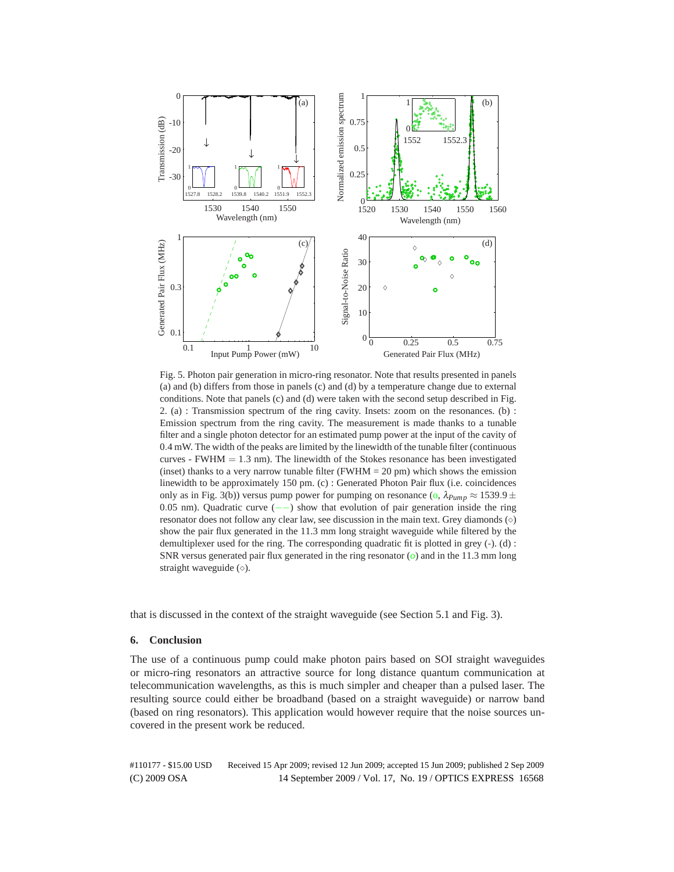

Fig. 5. Photon pair generation in micro-ring resonator. Note that results presented in panels (a) and (b) differs from those in panels (c) and (d) by a temperature change due to external conditions. Note that panels (c) and (d) were taken with the second setup described in Fig. 2. (a) : Transmission spectrum of the ring cavity. Insets: zoom on the resonances. (b) : Emission spectrum from the ring cavity. The measurement is made thanks to a tunable filter and a single photon detector for an estimated pump power at the input of the cavity of 0*.*4 mW. The width of the peaks are limited by the linewidth of the tunable filter (continuous curves - FWHM  $= 1.3$  nm). The linewidth of the Stokes resonance has been investigated (inset) thanks to a very narrow tunable filter (FWHM =  $20 \text{ pm}$ ) which shows the emission linewidth to be approximately 150 pm. (c) : Generated Photon Pair flux (i.e. coincidences only as in Fig. 3(b)) versus pump power for pumping on resonance (o,  $\lambda_{Pump} \approx 1539.9 \pm 10^{11}$ 0*.*05 nm). Quadratic curve (−−) show that evolution of pair generation inside the ring resonator does not follow any clear law, see discussion in the main text. Grey diamonds  $(\diamond)$ show the pair flux generated in the 11.3 mm long straight waveguide while filtered by the demultiplexer used for the ring. The corresponding quadratic fit is plotted in grey (-). (d) : SNR versus generated pair flux generated in the ring resonator (*o*) and in the 11.3 mm long straight waveguide  $(\diamond)$ .

that is discussed in the context of the straight waveguide (see Section 5.1 and Fig. 3).

# **6. Conclusion**

The use of a continuous pump could make photon pairs based on SOI straight waveguides or micro-ring resonators an attractive source for long distance quantum communication at telecommunication wavelengths, as this is much simpler and cheaper than a pulsed laser. The resulting source could either be broadband (based on a straight waveguide) or narrow band (based on ring resonators). This application would however require that the noise sources uncovered in the present work be reduced.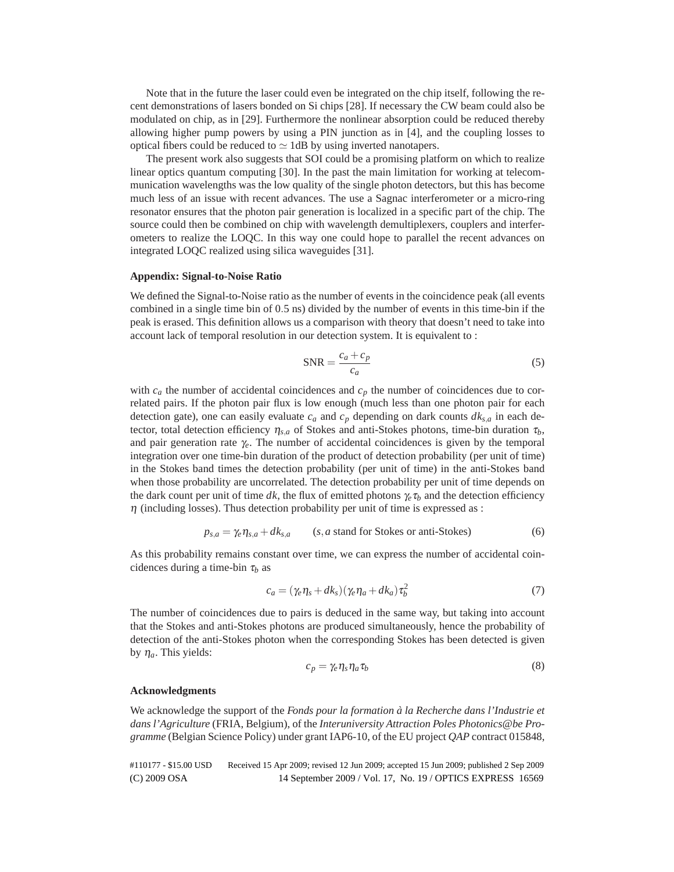Note that in the future the laser could even be integrated on the chip itself, following the recent demonstrations of lasers bonded on Si chips [28]. If necessary the CW beam could also be modulated on chip, as in [29]. Furthermore the nonlinear absorption could be reduced thereby allowing higher pump powers by using a PIN junction as in [4], and the coupling losses to optical fibers could be reduced to  $\simeq$  1dB by using inverted nanotapers.

The present work also suggests that SOI could be a promising platform on which to realize linear optics quantum computing [30]. In the past the main limitation for working at telecommunication wavelengths was the low quality of the single photon detectors, but this has become much less of an issue with recent advances. The use a Sagnac interferometer or a micro-ring resonator ensures that the photon pair generation is localized in a specific part of the chip. The source could then be combined on chip with wavelength demultiplexers, couplers and interferometers to realize the LOQC. In this way one could hope to parallel the recent advances on integrated LOQC realized using silica waveguides [31].

#### **Appendix: Signal-to-Noise Ratio**

We defined the Signal-to-Noise ratio as the number of events in the coincidence peak (all events combined in a single time bin of 0*.*5 ns) divided by the number of events in this time-bin if the peak is erased. This definition allows us a comparison with theory that doesn't need to take into account lack of temporal resolution in our detection system. It is equivalent to :

$$
SNR = \frac{c_a + c_p}{c_a} \tag{5}
$$

with  $c_a$  the number of accidental coincidences and  $c_p$  the number of coincidences due to correlated pairs. If the photon pair flux is low enough (much less than one photon pair for each detection gate), one can easily evaluate  $c_a$  and  $c_p$  depending on dark counts  $dk_{s,a}$  in each detector, total detection efficiency  $\eta_{s,a}$  of Stokes and anti-Stokes photons, time-bin duration  $\tau_b$ , and pair generation rate  $\gamma_e$ . The number of accidental coincidences is given by the temporal integration over one time-bin duration of the product of detection probability (per unit of time) in the Stokes band times the detection probability (per unit of time) in the anti-Stokes band when those probability are uncorrelated. The detection probability per unit of time depends on the dark count per unit of time dk, the flux of emitted photons  $\gamma_e \tau_b$  and the detection efficiency  $\eta$  (including losses). Thus detection probability per unit of time is expressed as :

$$
p_{s,a} = \gamma_e \eta_{s,a} + dk_{s,a} \qquad (s,a \text{ stand for Stokes or anti-Stokes}) \tag{6}
$$

As this probability remains constant over time, we can express the number of accidental coincidences during a time-bin  $\tau_b$  as

$$
c_a = (\gamma_e \eta_s + dk_s)(\gamma_e \eta_a + dk_a) \tau_b^2 \tag{7}
$$

The number of coincidences due to pairs is deduced in the same way, but taking into account that the Stokes and anti-Stokes photons are produced simultaneously, hence the probability of detection of the anti-Stokes photon when the corresponding Stokes has been detected is given by  $\eta_a$ . This yields:

$$
c_p = \gamma_e \eta_s \eta_a \tau_b \tag{8}
$$

#### **Acknowledgments**

We acknowledge the support of the *Fonds pour la formation a la Recherche dans l'Industrie et ` dans l'Agriculture* (FRIA, Belgium), of the *Interuniversity Attraction Poles Photonics@be Programme* (Belgian Science Policy) under grant IAP6-10, of the EU project *QAP* contract 015848,